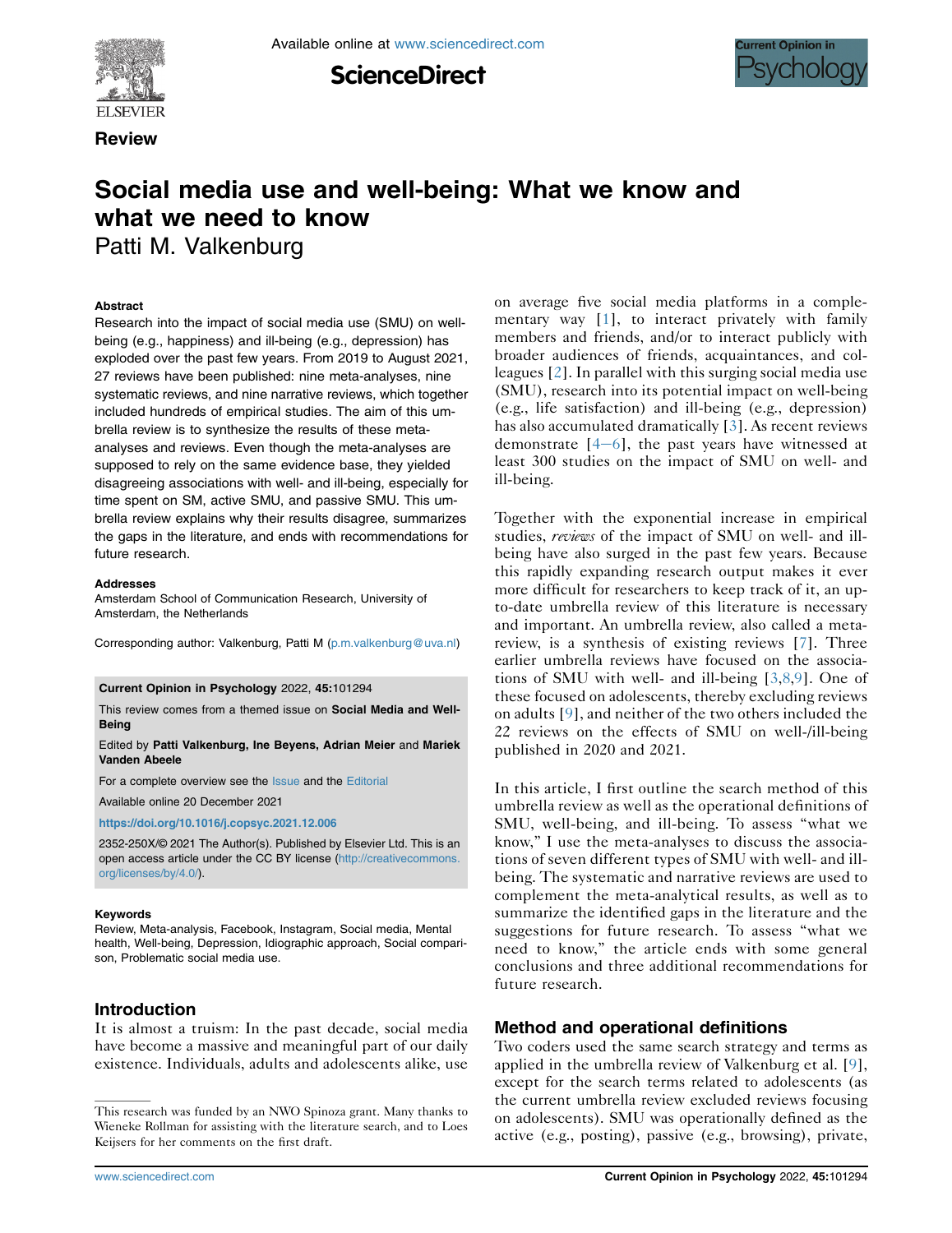**ScienceDirect** 



**Review** 



# Social media use and well-being: What we know and what we need to know

Patti M. Valkenburg

#### Abstract

Research into the impact of social media use (SMU) on wellbeing (e.g., happiness) and ill-being (e.g., depression) has exploded over the past few years. From 2019 to August 2021, 27 reviews have been published: nine meta-analyses, nine systematic reviews, and nine narrative reviews, which together included hundreds of empirical studies. The aim of this umbrella review is to synthesize the results of these metaanalyses and reviews. Even though the meta-analyses are supposed to rely on the same evidence base, they yielded disagreeing associations with well- and ill-being, especially for time spent on SM, active SMU, and passive SMU. This umbrella review explains why their results disagree, summarizes the gaps in the literature, and ends with recommendations for future research.

#### Addresses

Amsterdam School of Communication Research, University of Amsterdam, the Netherlands

Corresponding author: Valkenburg, Patti M [\(p.m.valkenburg@uva.nl\)](mailto:p.m.valkenburg@uva.nl)

#### Current Opinion in Psychology 2022, 45:101294

This review comes from a themed issue on Social Media and Well-Being

#### Edited by Patti Valkenburg, Ine Beyens, Adrian Meier and Mariek Vanden Abeele

For a complete overview see the [Issue](http://www.sciencedirect.com/science/journal/18796257/vol/issue) and the [Editorial](https://doi.org/10.1016/j.copsyc.2021.12.006)

Available online 20 December 2021

<https://doi.org/10.1016/j.copsyc.2021.12.006>

2352-250X/© 2021 The Author(s). Published by Elsevier Ltd. This is an open access article under the CC BY license ([http://creativecommons.](http://creativecommons.org/licenses/by/4.0/) [org/licenses/by/4.0/](http://creativecommons.org/licenses/by/4.0/)).

#### Keywords

Review, Meta-analysis, Facebook, Instagram, Social media, Mental health, Well-being, Depression, Idiographic approach, Social comparison, Problematic social media use.

# Introduction

It is almost a truism: In the past decade, social media have become a massive and meaningful part of our daily existence. Individuals, adults and adolescents alike, use

on average five social media platforms in a complementary way [\[1\]](#page-5-0), to interact privately with family members and friends, and/or to interact publicly with broader audiences of friends, acquaintances, and colleagues [\[2\]](#page-5-1). In parallel with this surging social media use (SMU), research into its potential impact on well-being (e.g., life satisfaction) and ill-being (e.g., depression) has also accumulated dramatically [\[3\]](#page-5-2). As recent reviews demonstrate  $[4-6]$  $[4-6]$  $[4-6]$  $[4-6]$ , the past years have witnessed at least 300 studies on the impact of SMU on well- and ill-being.

Together with the exponential increase in empirical studies, reviews of the impact of SMU on well- and illbeing have also surged in the past few years. Because this rapidly expanding research output makes it ever more difficult for researchers to keep track of it, an upto-date umbrella review of this literature is necessary and important. An umbrella review, also called a metareview, is a synthesis of existing reviews [\[7](#page-5-4)]. Three earlier umbrella reviews have focused on the associations of SMU with well- and ill-being [[3](#page-5-2)[,8,](#page-5-5)[9](#page-5-6)]. One of these focused on adolescents, thereby excluding reviews on adults [[9\]](#page-5-6), and neither of the two others included the 22 reviews on the effects of SMU on well-/ill-being published in 2020 and 2021.

In this article, I first outline the search method of this umbrella review as well as the operational definitions of SMU, well-being, and ill-being. To assess "what we know," I use the meta-analyses to discuss the associations of seven different types of SMU with well- and illbeing. The systematic and narrative reviews are used to complement the meta-analytical results, as well as to summarize the identified gaps in the literature and the suggestions for future research. To assess "what we need to know," the article ends with some general conclusions and three additional recommendations for future research.

# Method and operational definitions

Two coders used the same search strategy and terms as applied in the umbrella review of Valkenburg et al. [\[9\]](#page-5-6), except for the search terms related to adolescents (as the current umbrella review excluded reviews focusing on adolescents). SMU was operationally defined as the active (e.g., posting), passive (e.g., browsing), private,

This research was funded by an NWO Spinoza grant. Many thanks to Wieneke Rollman for assisting with the literature search, and to Loes Keijsers for her comments on the first draft.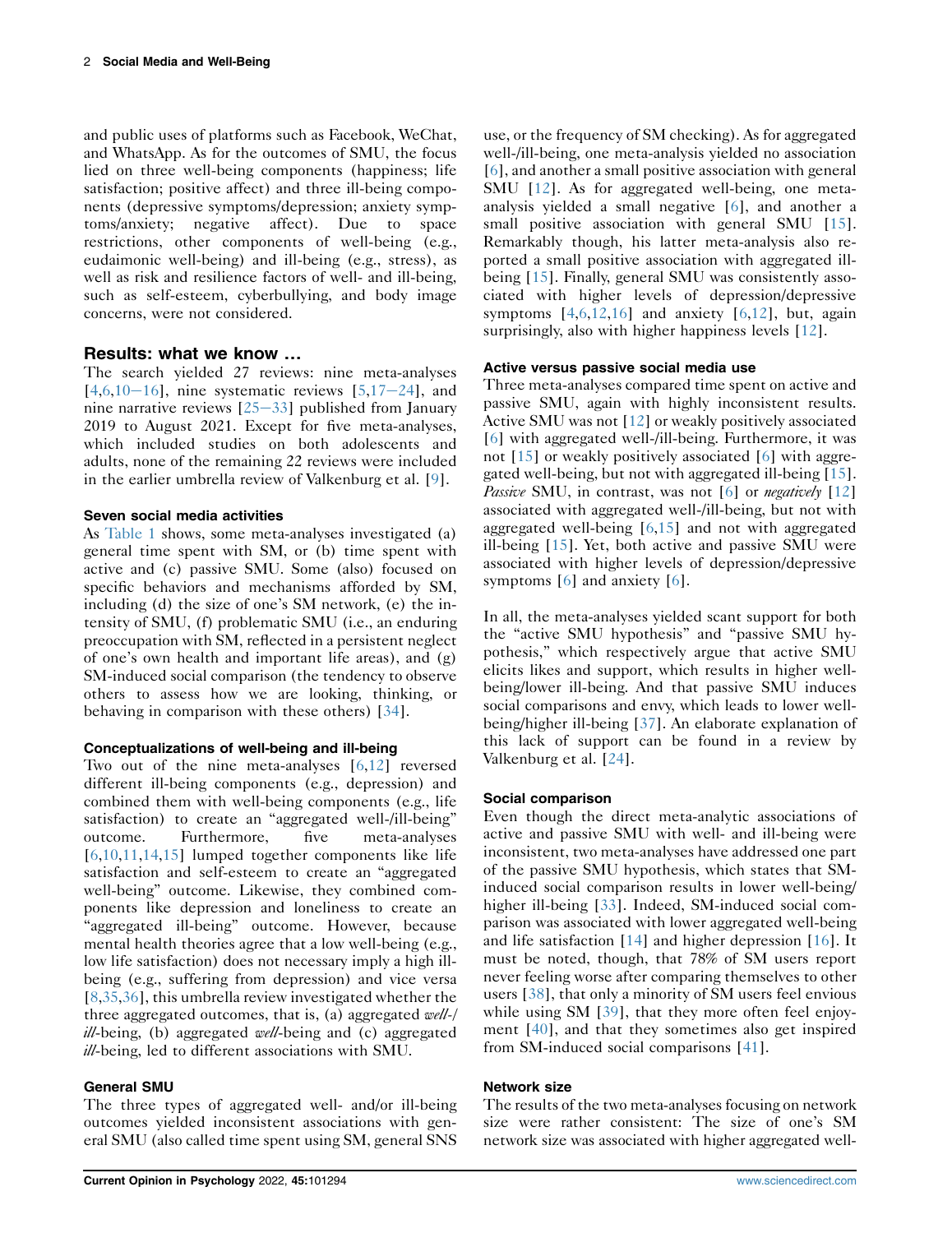and public uses of platforms such as Facebook, WeChat, and WhatsApp. As for the outcomes of SMU, the focus lied on three well-being components (happiness; life satisfaction; positive affect) and three ill-being components (depressive symptoms/depression; anxiety symptoms/anxiety; negative affect). Due to space restrictions, other components of well-being (e.g., eudaimonic well-being) and ill-being (e.g., stress), as well as risk and resilience factors of well- and ill-being, such as self-esteem, cyberbullying, and body image concerns, were not considered.

# Results: what we know …

The search yielded 27 reviews: nine meta-analyses  $[4,6,10-16]$  $[4,6,10-16]$  $[4,6,10-16]$  $[4,6,10-16]$  $[4,6,10-16]$  $[4,6,10-16]$  $[4,6,10-16]$  $[4,6,10-16]$ , nine systematic reviews  $[5,17-24]$  $[5,17-24]$  $[5,17-24]$  $[5,17-24]$ , and nine narrative reviews  $[25-33]$  $[25-33]$  $[25-33]$  $[25-33]$  $[25-33]$  published from January 2019 to August 2021. Except for five meta-analyses, which included studies on both adolescents and adults, none of the remaining 22 reviews were included in the earlier umbrella review of Valkenburg et al. [[9\]](#page-5-6).

## Seven social media activities

As [Table 1](#page-3-0) shows, some meta-analyses investigated (a) general time spent with SM, or (b) time spent with active and (c) passive SMU. Some (also) focused on specific behaviors and mechanisms afforded by SM, including (d) the size of one's SM network, (e) the intensity of SMU, (f) problematic SMU (i.e., an enduring preoccupation with SM, reflected in a persistent neglect of one's own health and important life areas), and (g) SM-induced social comparison (the tendency to observe others to assess how we are looking, thinking, or behaving in comparison with these others) [[34](#page-6-2)].

## Conceptualizations of well-being and ill-being

Two out of the nine meta-analyses [\[6](#page-5-7),[12](#page-5-10)] reversed different ill-being components (e.g., depression) and combined them with well-being components (e.g., life satisfaction) to create an "aggregated well-/ill-being" outcome. Furthermore, five meta-analyses [\[6](#page-5-7),[10](#page-5-8),[11](#page-5-11),[14](#page-5-12),[15](#page-5-13)] lumped together components like life satisfaction and self-esteem to create an "aggregated well-being" outcome. Likewise, they combined components like depression and loneliness to create an "aggregated ill-being" outcome. However, because mental health theories agree that a low well-being (e.g., low life satisfaction) does not necessary imply a high illbeing (e.g., suffering from depression) and vice versa [\[8](#page-5-5),[35](#page-6-3),[36](#page-6-4)], this umbrella review investigated whether the three aggregated outcomes, that is, (a) aggregated well-/  $\frac{ill \text{-being}}{l}$ , (b) aggregated well-being and (c) aggregated ill-being, led to different associations with SMU.

## General SMU

The three types of aggregated well- and/or ill-being outcomes yielded inconsistent associations with general SMU (also called time spent using SM, general SNS use, or the frequency of SM checking). As for aggregated well-/ill-being, one meta-analysis yielded no association [\[6](#page-5-7)], and another a small positive association with general SMU [[12](#page-5-10)]. As for aggregated well-being, one metaanalysis yielded a small negative [\[6](#page-5-7)], and another a small positive association with general SMU [\[15\]](#page-5-13). Remarkably though, his latter meta-analysis also reported a small positive association with aggregated illbeing [\[15\]](#page-5-13). Finally, general SMU was consistently associated with higher levels of depression/depressive symptoms  $[4,6,12,16]$  $[4,6,12,16]$  $[4,6,12,16]$  $[4,6,12,16]$  $[4,6,12,16]$  and anxiety  $[6,12]$  $[6,12]$ , but, again surprisingly, also with higher happiness levels [[12\]](#page-5-10).

## Active versus passive social media use

Three meta-analyses compared time spent on active and passive SMU, again with highly inconsistent results. Active SMU was not [[12\]](#page-5-10) or weakly positively associated [\[6](#page-5-7)] with aggregated well-/ill-being. Furthermore, it was not [[15](#page-5-13)] or weakly positively associated [\[6](#page-5-7)] with aggregated well-being, but not with aggregated ill-being [\[15\]](#page-5-13). *Passive* SMU, in contrast, was not [[6\]](#page-5-7) or *negatively* [[12](#page-5-10)] associated with aggregated well-/ill-being, but not with aggregated well-being [[6](#page-5-7)[,15\]](#page-5-13) and not with aggregated ill-being [\[15](#page-5-13)]. Yet, both active and passive SMU were associated with higher levels of depression/depressive symptoms [\[6\]](#page-5-7) and anxiety [\[6](#page-5-7)].

In all, the meta-analyses yielded scant support for both the "active SMU hypothesis" and "passive SMU hypothesis," which respectively argue that active SMU elicits likes and support, which results in higher wellbeing/lower ill-being. And that passive SMU induces social comparisons and envy, which leads to lower wellbeing/higher ill-being [[37](#page-6-6)]. An elaborate explanation of this lack of support can be found in a review by Valkenburg et al. [\[24\]](#page-6-7).

## Social comparison

Even though the direct meta-analytic associations of active and passive SMU with well- and ill-being were inconsistent, two meta-analyses have addressed one part of the passive SMU hypothesis, which states that SMinduced social comparison results in lower well-being/ higher ill-being [\[33\]](#page-6-8). Indeed, SM-induced social comparison was associated with lower aggregated well-being and life satisfaction [[14](#page-5-12)] and higher depression [\[16\]](#page-6-5). It must be noted, though, that 78% of SM users report never feeling worse after comparing themselves to other users [[38](#page-6-9)], that only a minority of SM users feel envious while using SM [[39](#page-6-10)], that they more often feel enjoyment [\[40\]](#page-6-11), and that they sometimes also get inspired from SM-induced social comparisons [\[41](#page-6-12)].

## Network size

The results of the two meta-analyses focusing on network size were rather consistent: The size of one's SM network size was associated with higher aggregated well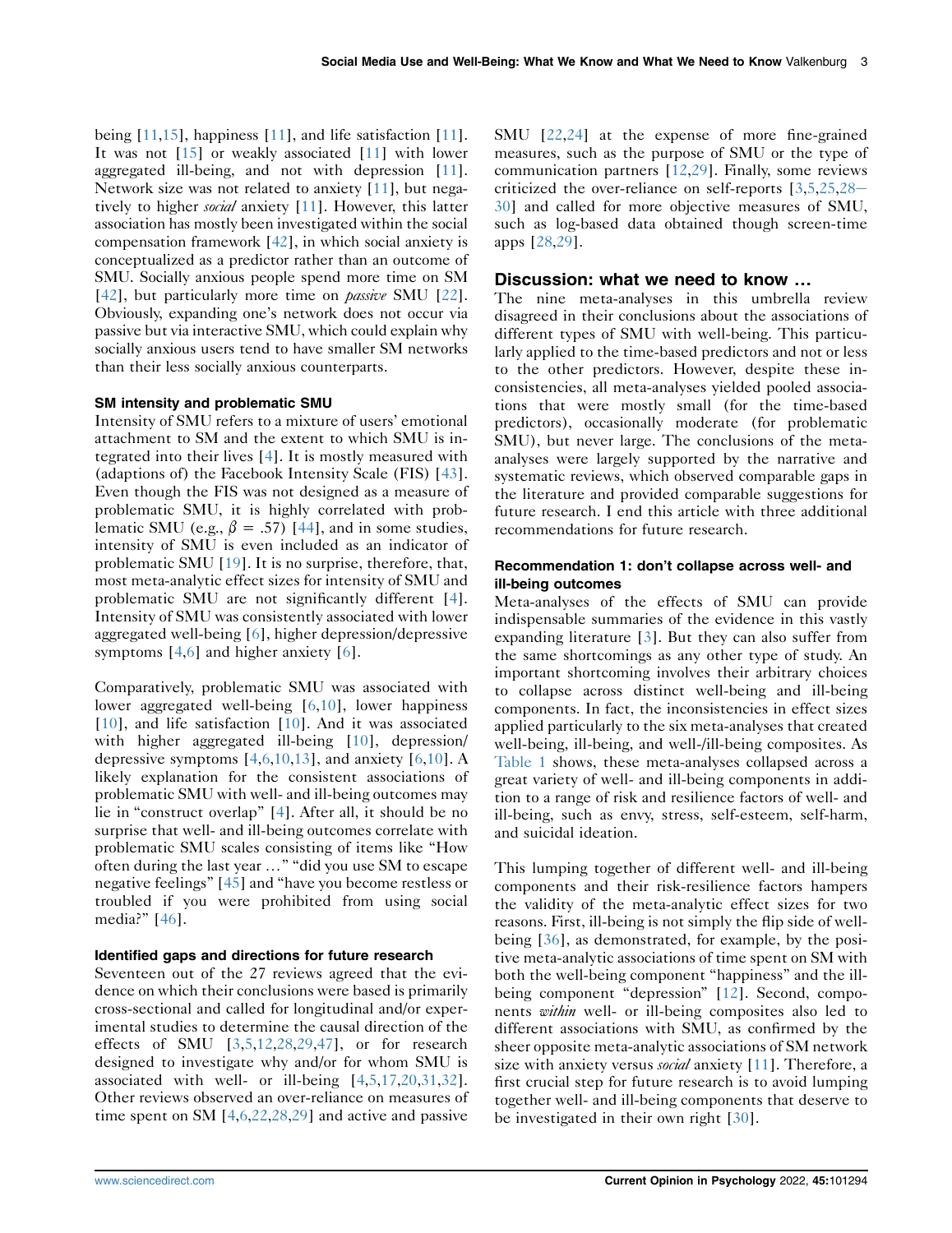being [[11](#page-5-11)[,15\]](#page-5-13), happiness [[11\]](#page-5-11), and life satisfaction [\[11](#page-5-11)]. It was not [[15\]](#page-5-13) or weakly associated [\[11](#page-5-11)] with lower aggregated ill-being, and not with depression [\[11](#page-5-11)]. Network size was not related to anxiety [\[11](#page-5-11)], but negatively to higher *social* anxiety [\[11](#page-5-11)]. However, this latter association has mostly been investigated within the social compensation framework [\[42](#page-6-13)], in which social anxiety is conceptualized as a predictor rather than an outcome of SMU. Socially anxious people spend more time on SM [\[42](#page-6-13)], but particularly more time on *passive* SMU [\[22](#page-6-14)]. Obviously, expanding one's network does not occur via passive but via interactive SMU, which could explain why socially anxious users tend to have smaller SM networks than their less socially anxious counterparts.

#### SM intensity and problematic SMU

Intensity of SMU refers to a mixture of users' emotional attachment to SM and the extent to which SMU is integrated into their lives [\[4](#page-5-3)]. It is mostly measured with (adaptions of) the Facebook Intensity Scale (FIS) [[43](#page-6-15)]. Even though the FIS was not designed as a measure of problematic SMU, it is highly correlated with problematic SMU (e.g.,  $\beta = .57$ ) [[44](#page-6-16)], and in some studies, intensity of SMU is even included as an indicator of problematic SMU [[19\]](#page-6-17). It is no surprise, therefore, that, most meta-analytic effect sizes for intensity of SMU and problematic SMU are not significantly different [\[4](#page-5-3)]. Intensity of SMU was consistently associated with lower aggregated well-being [[6](#page-5-7)], higher depression/depressive symptoms [\[4](#page-5-3),[6](#page-5-7)] and higher anxiety [\[6\]](#page-5-7).

Comparatively, problematic SMU was associated with lower aggregated well-being [\[6](#page-5-7),[10](#page-5-8)], lower happiness [\[10\]](#page-5-8), and life satisfaction [[10](#page-5-8)]. And it was associated with higher aggregated ill-being [[10](#page-5-8)], depression/ depressive symptoms  $[4,6,10,13]$  $[4,6,10,13]$  $[4,6,10,13]$  $[4,6,10,13]$  $[4,6,10,13]$ , and anxiety  $[6,10]$  $[6,10]$  $[6,10]$  $[6,10]$  $[6,10]$ . A likely explanation for the consistent associations of problematic SMU with well- and ill-being outcomes may lie in "construct overlap" [[4\]](#page-5-3). After all, it should be no surprise that well- and ill-being outcomes correlate with problematic SMU scales consisting of items like "How often during the last year ..." "did you use SM to escape negative feelings" [[45](#page-6-18)] and "have you become restless or troubled if you were prohibited from using social media?" [\[46](#page-6-19)].

#### Identified gaps and directions for future research

Seventeen out of the 27 reviews agreed that the evidence on which their conclusions were based is primarily cross-sectional and called for longitudinal and/or experimental studies to determine the causal direction of the effects of SMU [[3](#page-5-2)[,5,](#page-5-9)[12,](#page-5-10)[28,](#page-6-20)[29](#page-6-21)[,47](#page-6-22)], or for research designed to investigate why and/or for whom SMU is associated with well- or ill-being [[4](#page-5-3)[,5,](#page-5-9)[17,](#page-6-0)[20](#page-6-23)[,31](#page-6-24)[,32](#page-6-25)]. Other reviews observed an over-reliance on measures of time spent on SM [\[4,](#page-5-3)[6](#page-5-7),[22](#page-6-14),[28](#page-6-20),[29](#page-6-21)] and active and passive

SMU [[22](#page-6-14),[24](#page-6-7)] at the expense of more fine-grained measures, such as the purpose of SMU or the type of communication partners [\[12](#page-5-10)[,29](#page-6-21)]. Finally, some reviews criticized the over-reliance on self-reports  $[3,5,25,28 [3,5,25,28 [3,5,25,28 [3,5,25,28 [3,5,25,28 [3,5,25,28-$ [30\]](#page-6-20) and called for more objective measures of SMU, such as log-based data obtained though screen-time apps [\[28,](#page-6-20)[29\]](#page-6-21).

## Discussion: what we need to know …

The nine meta-analyses in this umbrella review disagreed in their conclusions about the associations of different types of SMU with well-being. This particularly applied to the time-based predictors and not or less to the other predictors. However, despite these inconsistencies, all meta-analyses yielded pooled associations that were mostly small (for the time-based predictors), occasionally moderate (for problematic SMU), but never large. The conclusions of the metaanalyses were largely supported by the narrative and systematic reviews, which observed comparable gaps in the literature and provided comparable suggestions for future research. I end this article with three additional recommendations for future research.

#### Recommendation 1: don't collapse across well- and ill-being outcomes

Meta-analyses of the effects of SMU can provide indispensable summaries of the evidence in this vastly expanding literature [\[3](#page-5-2)]. But they can also suffer from the same shortcomings as any other type of study. An important shortcoming involves their arbitrary choices to collapse across distinct well-being and ill-being components. In fact, the inconsistencies in effect sizes applied particularly to the six meta-analyses that created well-being, ill-being, and well-/ill-being composites. As [Table 1](#page-3-0) shows, these meta-analyses collapsed across a great variety of well- and ill-being components in addition to a range of risk and resilience factors of well- and ill-being, such as envy, stress, self-esteem, self-harm, and suicidal ideation.

This lumping together of different well- and ill-being components and their risk-resilience factors hampers the validity of the meta-analytic effect sizes for two reasons. First, ill-being is not simply the flip side of wellbeing [[36](#page-6-4)], as demonstrated, for example, by the positive meta-analytic associations of time spent on SM with both the well-being component "happiness" and the ill-being component "depression" [[12](#page-5-10)]. Second, components within well- or ill-being composites also led to different associations with SMU, as confirmed by the sheer opposite meta-analytic associations of SM network size with anxiety versus *social* anxiety [[11](#page-5-11)]. Therefore, a first crucial step for future research is to avoid lumping together well- and ill-being components that deserve to be investigated in their own right [[30\]](#page-6-26).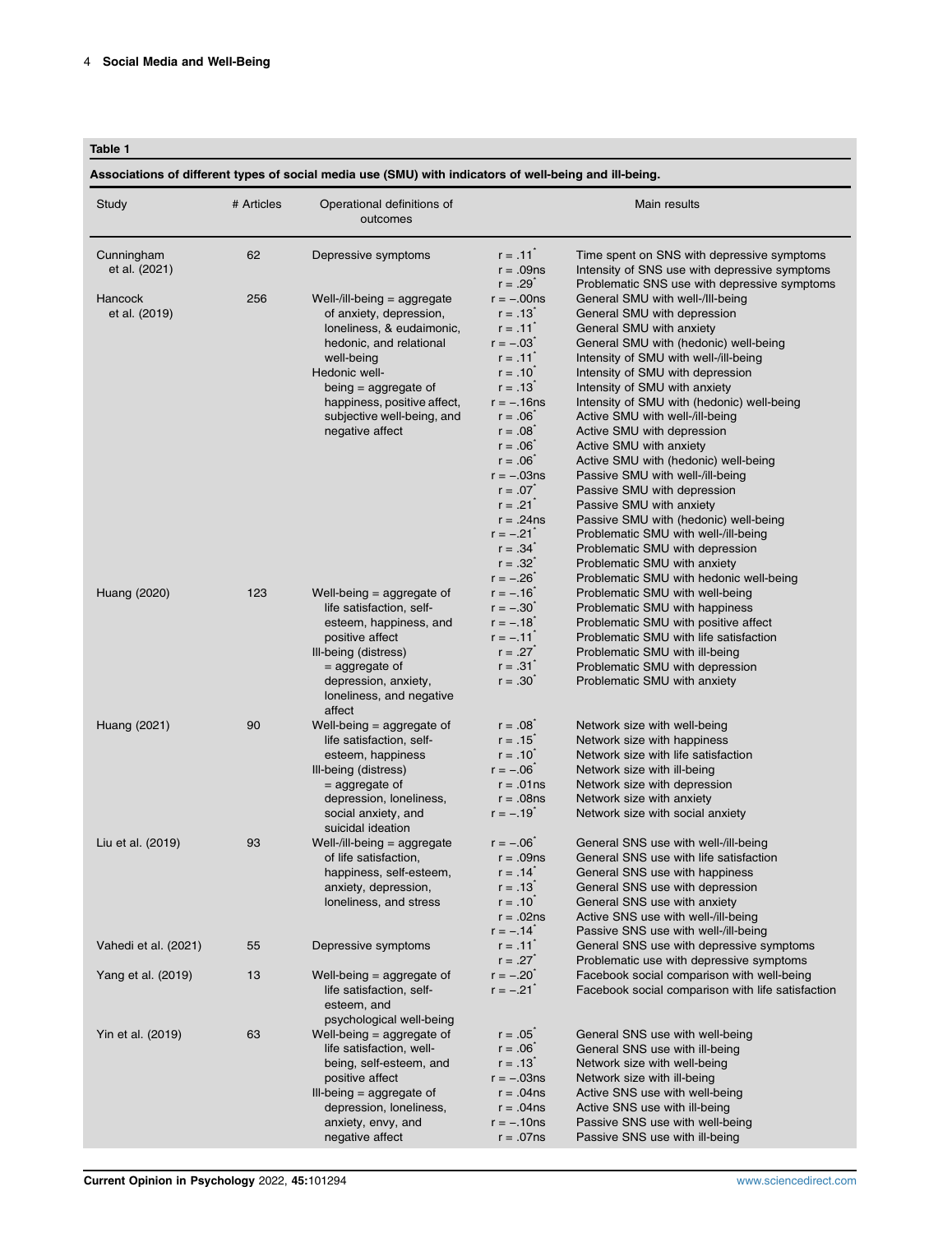#### <span id="page-3-0"></span>Table 1

Associations of different types of social media use (SMU) with indicators of well-being and ill-being.

| Study                           | # Articles | Operational definitions of<br>outcomes                                                                                                                                                                                                                  |                                                                                                                                                                                                      | Main results                                                                                                                                                                                                                                                                                                                                                                                                                                                                         |
|---------------------------------|------------|---------------------------------------------------------------------------------------------------------------------------------------------------------------------------------------------------------------------------------------------------------|------------------------------------------------------------------------------------------------------------------------------------------------------------------------------------------------------|--------------------------------------------------------------------------------------------------------------------------------------------------------------------------------------------------------------------------------------------------------------------------------------------------------------------------------------------------------------------------------------------------------------------------------------------------------------------------------------|
| Cunningham<br>et al. (2021)     | 62         | Depressive symptoms                                                                                                                                                                                                                                     | $r = .11^{-}$<br>$r = .09ns$                                                                                                                                                                         | Time spent on SNS with depressive symptoms<br>Intensity of SNS use with depressive symptoms                                                                                                                                                                                                                                                                                                                                                                                          |
| <b>Hancock</b><br>et al. (2019) | 256        | Well-/ill-being $=$ aggregate<br>of anxiety, depression,<br>loneliness, & eudaimonic,<br>hedonic, and relational<br>well-being<br>Hedonic well-<br>being = aggregate of<br>happiness, positive affect,<br>subjective well-being, and<br>negative affect | $r = .29$<br>$r = -00$ ns<br>$r = .13^{-}$<br>$r = .11^{-}$<br>$r = -.03^{-}$<br>$r = .11^{7}$<br>$r = .10^{-7}$<br>$r = .13$<br>$r = -.16$ ns<br>$r = .06^*$<br>$r = .08$<br>$r = .06$<br>$r = .06$ | Problematic SNS use with depressive symptoms<br>General SMU with well-/Ill-being<br>General SMU with depression<br>General SMU with anxiety<br>General SMU with (hedonic) well-being<br>Intensity of SMU with well-/ill-being<br>Intensity of SMU with depression<br>Intensity of SMU with anxiety<br>Intensity of SMU with (hedonic) well-being<br>Active SMU with well-/ill-being<br>Active SMU with depression<br>Active SMU with anxiety<br>Active SMU with (hedonic) well-being |
|                                 |            |                                                                                                                                                                                                                                                         | $r = -03$ ns<br>$r = .07$<br>$r = .21$<br>$r = .24$ ns<br>$r = -.21$<br>$r = .34$<br>$r = .32^{t}$<br>$r = -.26$                                                                                     | Passive SMU with well-/ill-being<br>Passive SMU with depression<br>Passive SMU with anxiety<br>Passive SMU with (hedonic) well-being<br>Problematic SMU with well-/ill-being<br>Problematic SMU with depression<br>Problematic SMU with anxiety<br>Problematic SMU with hedonic well-being                                                                                                                                                                                           |
| Huang (2020)                    | 123        | Well-being $=$ aggregate of<br>life satisfaction, self-<br>esteem, happiness, and<br>positive affect<br>Ill-being (distress)<br>$=$ aggregate of<br>depression, anxiety,<br>loneliness, and negative<br>affect                                          | $r = -.16$<br>$r = -.30$<br>$r = -.18$<br>$r = -.11$<br>$r = .27$<br>$r = .31^{\degree}$<br>$r = .30^{-}$                                                                                            | Problematic SMU with well-being<br>Problematic SMU with happiness<br>Problematic SMU with positive affect<br>Problematic SMU with life satisfaction<br>Problematic SMU with ill-being<br>Problematic SMU with depression<br>Problematic SMU with anxiety                                                                                                                                                                                                                             |
| Huang (2021)                    | 90         | Well-being $=$ aggregate of<br>life satisfaction, self-<br>esteem, happiness<br>Ill-being (distress)<br>$=$ aggregate of<br>depression, loneliness,<br>social anxiety, and<br>suicidal ideation                                                         | $r = .08$<br>$r = .15$<br>$r = .10^{-7}$<br>$r = -.06^{-}$<br>$r = .01ns$<br>$r = .08$ ns<br>$r = -.19$                                                                                              | Network size with well-being<br>Network size with happiness<br>Network size with life satisfaction<br>Network size with ill-being<br>Network size with depression<br>Network size with anxiety<br>Network size with social anxiety                                                                                                                                                                                                                                                   |
| Liu et al. (2019)               | 93         | Well-/ill-being $=$ aggregate<br>of life satisfaction,<br>happiness, self-esteem,<br>anxiety, depression,<br>loneliness, and stress                                                                                                                     | $r = -.06^{-}$<br>$r = .09ns$<br>$r = .14$<br>$r = .13$<br>$r = .10^{-7}$<br>$r = .02ns$<br>$r = -.14^{-}$                                                                                           | General SNS use with well-/ill-being<br>General SNS use with life satisfaction<br>General SNS use with happiness<br>General SNS use with depression<br>General SNS use with anxiety<br>Active SNS use with well-/ill-being<br>Passive SNS use with well-/ill-being                                                                                                                                                                                                                   |
| Vahedi et al. (2021)            | 55         | Depressive symptoms                                                                                                                                                                                                                                     | $r = .11^{-}$<br>$r = .27$                                                                                                                                                                           | General SNS use with depressive symptoms<br>Problematic use with depressive symptoms                                                                                                                                                                                                                                                                                                                                                                                                 |
| Yang et al. (2019)              | 13         | Well-being $=$ aggregate of<br>life satisfaction, self-<br>esteem, and<br>psychological well-being                                                                                                                                                      | $r = -.20^{7}$<br>$r = -.21$                                                                                                                                                                         | Facebook social comparison with well-being<br>Facebook social comparison with life satisfaction                                                                                                                                                                                                                                                                                                                                                                                      |
| Yin et al. (2019)               | 63         | Well-being = aggregate of<br>life satisfaction, well-<br>being, self-esteem, and<br>positive affect<br>Ill-being $=$ aggregate of<br>depression, loneliness,<br>anxiety, envy, and<br>negative affect                                                   | $r = .05$<br>$r = .06$<br>$r = .13$<br>$r = -.03ns$<br>$r = .04ns$<br>$r = .04ns$<br>$r = -.10$ ns<br>$r = .07ns$                                                                                    | General SNS use with well-being<br>General SNS use with ill-being<br>Network size with well-being<br>Network size with ill-being<br>Active SNS use with well-being<br>Active SNS use with ill-being<br>Passive SNS use with well-being<br>Passive SNS use with ill-being                                                                                                                                                                                                             |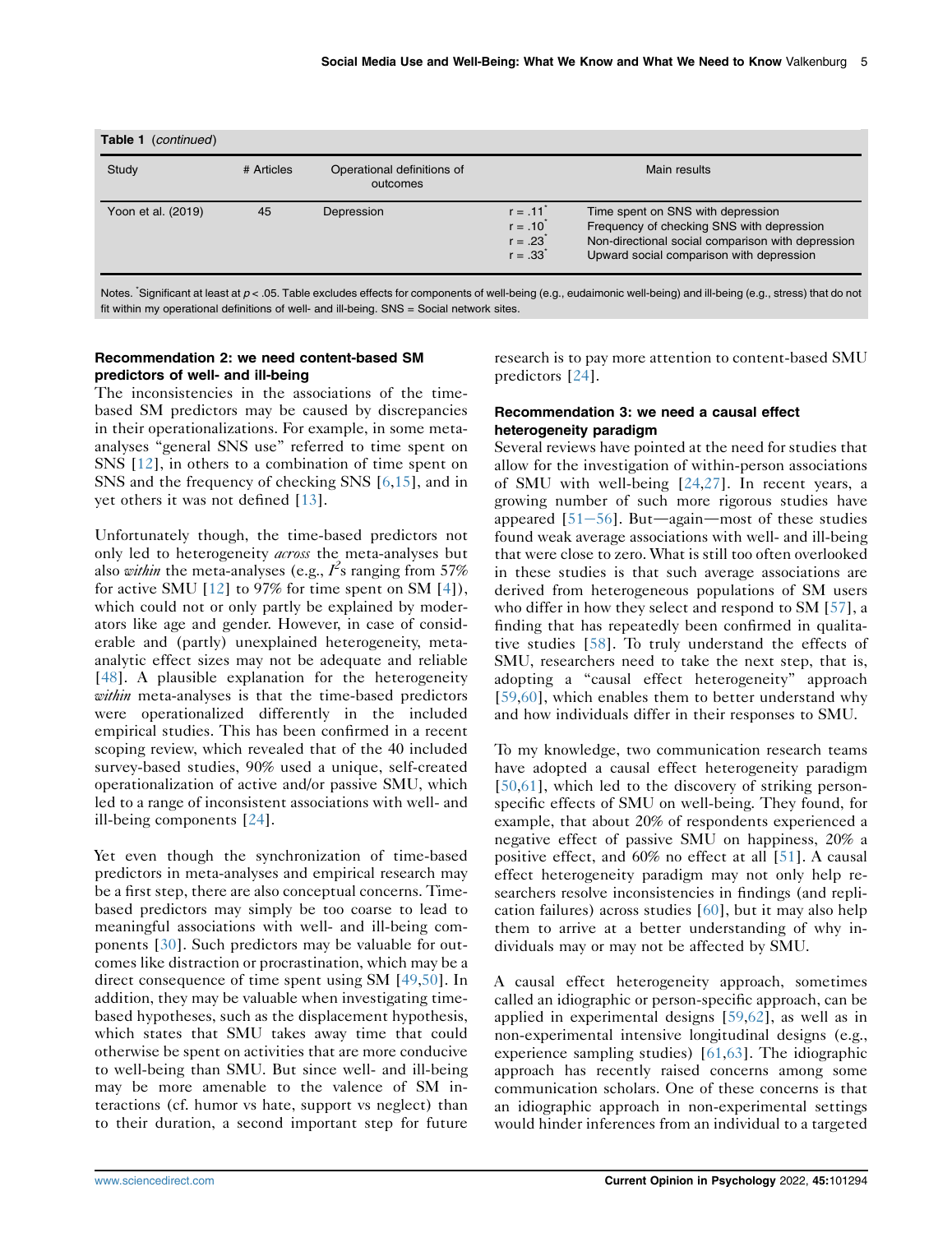| Table 1<br>(continued) |            |                                        |                                                                  |                                                                                                                                                                                 |  |  |  |
|------------------------|------------|----------------------------------------|------------------------------------------------------------------|---------------------------------------------------------------------------------------------------------------------------------------------------------------------------------|--|--|--|
| Study                  | # Articles | Operational definitions of<br>outcomes |                                                                  | Main results                                                                                                                                                                    |  |  |  |
| Yoon et al. (2019)     | 45         | Depression                             | $r = .11^{t}$<br>$r = .10^{t}$<br>$r = .23^{t}$<br>$r = .33^{*}$ | Time spent on SNS with depression<br>Frequency of checking SNS with depression<br>Non-directional social comparison with depression<br>Upward social comparison with depression |  |  |  |

Notes. 'Significant at least at  $p < .05$ . Table excludes effects for components of well-being (e.g., eudaimonic well-being) and ill-being (e.g., stress) that do not fit within my operational definitions of well- and ill-being. SNS = Social network sites.

# Recommendation 2: we need content-based SM predictors of well- and ill-being

The inconsistencies in the associations of the timebased SM predictors may be caused by discrepancies in their operationalizations. For example, in some metaanalyses "general SNS use" referred to time spent on SNS [\[12\]](#page-5-10), in others to a combination of time spent on SNS and the frequency of checking SNS [\[6](#page-5-7),[15](#page-5-13)], and in yet others it was not defined [[13](#page-5-14)].

Unfortunately though, the time-based predictors not only led to heterogeneity *across* the meta-analyses but also *within* the meta-analyses (e.g.,  $I^2$ s ranging from 57%<br>for active SMU [12] to 97% for time spent on SM [4]) for active SMU  $[12]$  to 97% for time spent on SM  $[4]$  $[4]$ ), which could not or only partly be explained by moderators like age and gender. However, in case of considerable and (partly) unexplained heterogeneity, metaanalytic effect sizes may not be adequate and reliable [\[48\]](#page-6-27). A plausible explanation for the heterogeneity within meta-analyses is that the time-based predictors were operationalized differently in the included empirical studies. This has been confirmed in a recent scoping review, which revealed that of the 40 included survey-based studies, 90% used a unique, self-created operationalization of active and/or passive SMU, which led to a range of inconsistent associations with well- and ill-being components [[24](#page-6-7)].

Yet even though the synchronization of time-based predictors in meta-analyses and empirical research may be a first step, there are also conceptual concerns. Timebased predictors may simply be too coarse to lead to meaningful associations with well- and ill-being components [\[30](#page-6-26)]. Such predictors may be valuable for outcomes like distraction or procrastination, which may be a direct consequence of time spent using SM [\[49](#page-6-28)[,50\]](#page-6-29). In addition, they may be valuable when investigating timebased hypotheses, such as the displacement hypothesis, which states that SMU takes away time that could otherwise be spent on activities that are more conducive to well-being than SMU. But since well- and ill-being may be more amenable to the valence of SM interactions (cf. humor vs hate, support vs neglect) than to their duration, a second important step for future

research is to pay more attention to content-based SMU predictors [[24](#page-6-7)].

## Recommendation 3: we need a causal effect heterogeneity paradigm

Several reviews have pointed at the need for studies that allow for the investigation of within-person associations of SMU with well-being [\[24,](#page-6-7)[27\]](#page-6-30). In recent years, a growing number of such more rigorous studies have appeared  $[51-56]$  $[51-56]$  $[51-56]$  $[51-56]$ . But—again—most of these studies found weak average associations with well- and ill-being that were close to zero. What is still too often overlooked in these studies is that such average associations are derived from heterogeneous populations of SM users who differ in how they select and respond to SM [\[57\]](#page-7-1), a finding that has repeatedly been confirmed in qualitative studies [[58\]](#page-7-2). To truly understand the effects of SMU, researchers need to take the next step, that is, adopting a "causal effect heterogeneity" approach [\[59](#page-7-3)[,60\]](#page-7-4), which enables them to better understand why and how individuals differ in their responses to SMU.

To my knowledge, two communication research teams have adopted a causal effect heterogeneity paradigm [\[50](#page-6-29)[,61\]](#page-7-5), which led to the discovery of striking personspecific effects of SMU on well-being. They found, for example, that about 20% of respondents experienced a negative effect of passive SMU on happiness, 20% a positive effect, and 60% no effect at all [[51\]](#page-7-0). A causal effect heterogeneity paradigm may not only help researchers resolve inconsistencies in findings (and replication failures) across studies [\[60\]](#page-7-4), but it may also help them to arrive at a better understanding of why individuals may or may not be affected by SMU.

A causal effect heterogeneity approach, sometimes called an idiographic or person-specific approach, can be applied in experimental designs [\[59](#page-7-3)[,62\]](#page-7-6), as well as in non-experimental intensive longitudinal designs (e.g., experience sampling studies) [[61](#page-7-5),[63](#page-7-7)]. The idiographic approach has recently raised concerns among some communication scholars. One of these concerns is that an idiographic approach in non-experimental settings would hinder inferences from an individual to a targeted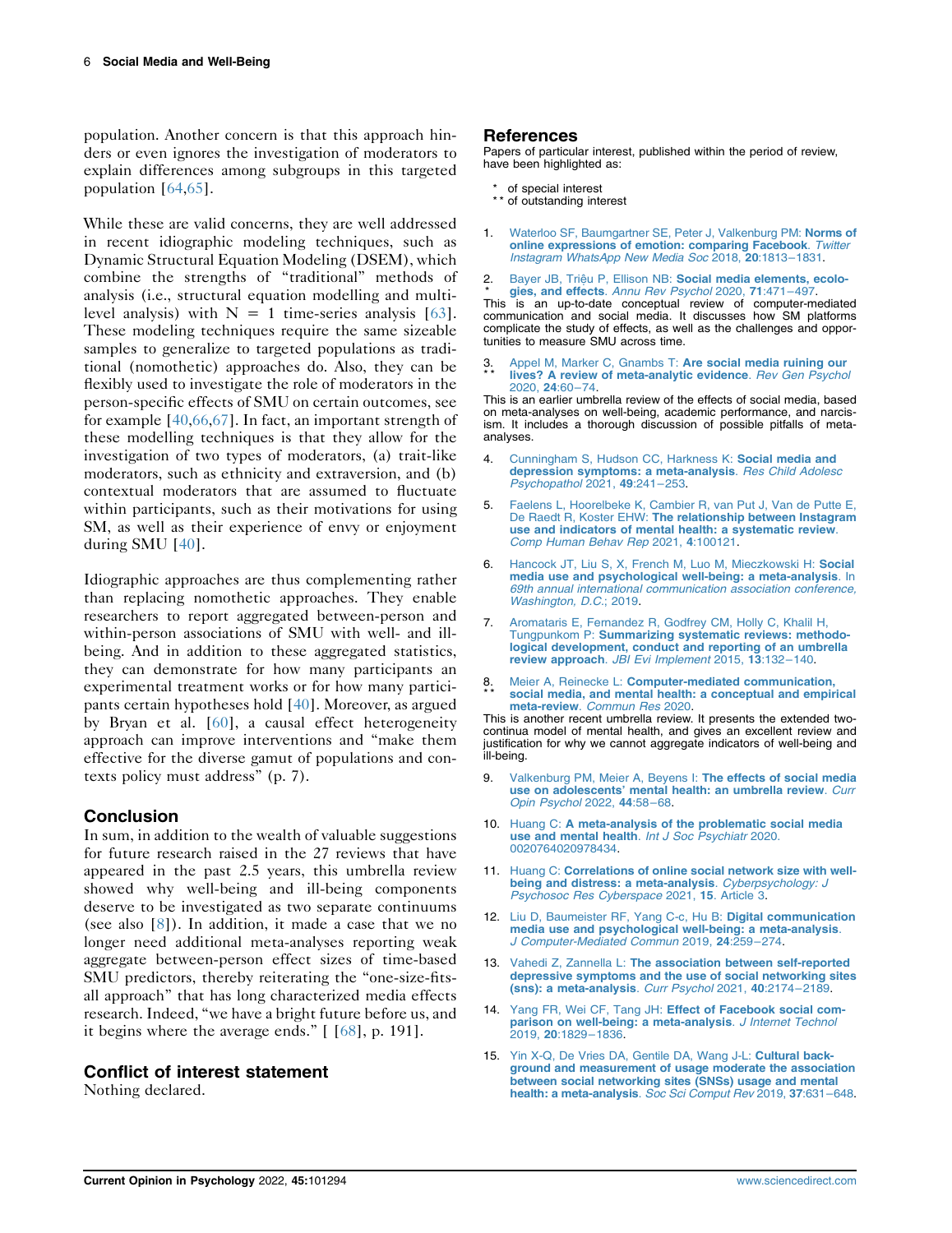population. Another concern is that this approach hinders or even ignores the investigation of moderators to explain differences among subgroups in this targeted population [\[64](#page-7-8)[,65\]](#page-7-9).

While these are valid concerns, they are well addressed in recent idiographic modeling techniques, such as Dynamic Structural Equation Modeling (DSEM), which combine the strengths of "traditional" methods of analysis (i.e., structural equation modelling and multilevel analysis) with  $N = 1$  time-series analysis [[63](#page-7-7)]. These modeling techniques require the same sizeable samples to generalize to targeted populations as traditional (nomothetic) approaches do. Also, they can be flexibly used to investigate the role of moderators in the person-specific effects of SMU on certain outcomes, see for example [[40](#page-6-11),[66](#page-7-10),[67](#page-7-11)]. In fact, an important strength of these modelling techniques is that they allow for the investigation of two types of moderators, (a) trait-like moderators, such as ethnicity and extraversion, and (b) contextual moderators that are assumed to fluctuate within participants, such as their motivations for using SM, as well as their experience of envy or enjoyment during SMU [\[40\]](#page-6-11).

Idiographic approaches are thus complementing rather than replacing nomothetic approaches. They enable researchers to report aggregated between-person and within-person associations of SMU with well- and illbeing. And in addition to these aggregated statistics, they can demonstrate for how many participants an experimental treatment works or for how many participants certain hypotheses hold [[40](#page-6-11)]. Moreover, as argued by Bryan et al. [[60\]](#page-7-4), a causal effect heterogeneity approach can improve interventions and "make them effective for the diverse gamut of populations and contexts policy must address" (p. 7).

# Conclusion

In sum, in addition to the wealth of valuable suggestions for future research raised in the 27 reviews that have appeared in the past 2.5 years, this umbrella review showed why well-being and ill-being components deserve to be investigated as two separate continuums (see also [[8\]](#page-5-5)). In addition, it made a case that we no longer need additional meta-analyses reporting weak aggregate between-person effect sizes of time-based SMU predictors, thereby reiterating the "one-size-fitsall approach" that has long characterized media effects research. Indeed, "we have a bright future before us, and it begins where the average ends." [ [[68](#page-7-12)], p. 191].

# Conflict of interest statement

Nothing declared.

# References

Papers of particular interest, published within the period of review, have been highlighted as:

- of special interest
- \*\* of outstanding interest
- <span id="page-5-0"></span>1. [Waterloo SF, Baumgartner SE, Peter J, Valkenburg PM:](http://refhub.elsevier.com/S2352-250X(21)00246-3/sref1) Norms of [online expressions of emotion: comparing Facebook](http://refhub.elsevier.com/S2352-250X(21)00246-3/sref1). Twitter [Instagram WhatsApp New Media Soc](http://refhub.elsevier.com/S2352-250X(21)00246-3/sref1) 2018, 20:1813–1831.
- <span id="page-5-1"></span>2 Bayer JB, Triệu P, Ellison NB: [Social media elements, ecolo](http://refhub.elsevier.com/S2352-250X(21)00246-3/sref2)gies, and effects. [Annu Rev Psychol](http://refhub.elsevier.com/S2352-250X(21)00246-3/sref2) 2020, 71:471–497.

\* This is an up-to-date conceptual review of computer-mediated communication and social media. It discusses how SM platforms complicate the study of effects, as well as the challenges and opportunities to measure SMU across time.

<span id="page-5-2"></span>3 \* \* [Appel M, Marker C, Gnambs T:](http://refhub.elsevier.com/S2352-250X(21)00246-3/sref3) Are social media ruining our [lives? A review of meta-analytic evidence](http://refhub.elsevier.com/S2352-250X(21)00246-3/sref3). Rev Gen Psychol [2020,](http://refhub.elsevier.com/S2352-250X(21)00246-3/sref3) 24:60–74.

This is an earlier umbrella review of the effects of social media, based on meta-analyses on well-being, academic performance, and narcis-ism. It includes a thorough discussion of possible pitfalls of metaanalyses.

- <span id="page-5-3"></span>[Cunningham S, Hudson CC, Harkness K:](http://refhub.elsevier.com/S2352-250X(21)00246-3/sref4) Social media and [depression symptoms: a meta-analysis](http://refhub.elsevier.com/S2352-250X(21)00246-3/sref4). Res Child Adolesc [Psychopathol](http://refhub.elsevier.com/S2352-250X(21)00246-3/sref4) 2021, 49:241–253.
- <span id="page-5-9"></span>5. [Faelens L, Hoorelbeke K, Cambier R, van Put J, Van de Putte E,](http://refhub.elsevier.com/S2352-250X(21)00246-3/sref5) De Raedt R, Koster EHW: [The relationship between Instagram](http://refhub.elsevier.com/S2352-250X(21)00246-3/sref5) [use and indicators of mental health: a systematic review](http://refhub.elsevier.com/S2352-250X(21)00246-3/sref5). [Comp Human Behav Rep](http://refhub.elsevier.com/S2352-250X(21)00246-3/sref5) 2021, 4:100121.
- <span id="page-5-7"></span>6. [Hancock JT, Liu S, X, French M, Luo M, Mieczkowski H:](http://refhub.elsevier.com/S2352-250X(21)00246-3/sref6) Social [media use and psychological well-being: a meta-analysis](http://refhub.elsevier.com/S2352-250X(21)00246-3/sref6). In [69th annual international communication association conference,](http://refhub.elsevier.com/S2352-250X(21)00246-3/sref6) [Washington, D.C.](http://refhub.elsevier.com/S2352-250X(21)00246-3/sref6); 2019.
- <span id="page-5-4"></span>7. [Aromataris E, Fernandez R, Godfrey CM, Holly C, Khalil H,](http://refhub.elsevier.com/S2352-250X(21)00246-3/sref7) Tungpunkom P: [Summarizing systematic reviews: methodo](http://refhub.elsevier.com/S2352-250X(21)00246-3/sref7)[logical development, conduct and reporting of an umbrella](http://refhub.elsevier.com/S2352-250X(21)00246-3/sref7) review approach. [JBI Evi Implement](http://refhub.elsevier.com/S2352-250X(21)00246-3/sref7) 2015, 13:132–140.
- <span id="page-5-5"></span>8 \* \* Meier A, Reinecke L: [Computer-mediated communication,](http://refhub.elsevier.com/S2352-250X(21)00246-3/sref8) [social media, and mental health: a conceptual and empirical](http://refhub.elsevier.com/S2352-250X(21)00246-3/sref8) meta-review. [Commun Res](http://refhub.elsevier.com/S2352-250X(21)00246-3/sref8) 2020.

This is another recent umbrella review. It presents the extended twocontinua model of mental health, and gives an excellent review and justification for why we cannot aggregate indicators of well-being and ill-being.

- <span id="page-5-6"></span>9. [Valkenburg PM, Meier A, Beyens I:](http://refhub.elsevier.com/S2352-250X(21)00246-3/sref9) The effects of social media use on adolescents' [mental health: an umbrella review](http://refhub.elsevier.com/S2352-250X(21)00246-3/sref9). Curr [Opin Psychol](http://refhub.elsevier.com/S2352-250X(21)00246-3/sref9) 2022, 44:58–68.
- <span id="page-5-8"></span>10. Huang C: [A meta-analysis of the problematic social media](http://refhub.elsevier.com/S2352-250X(21)00246-3/sref10) [use and mental health](http://refhub.elsevier.com/S2352-250X(21)00246-3/sref10). Int J Soc Psychiatr 2020. [0020764020978434](http://refhub.elsevier.com/S2352-250X(21)00246-3/sref10).
- <span id="page-5-11"></span>11. Huang C: [Correlations of online social network size with well](http://refhub.elsevier.com/S2352-250X(21)00246-3/sref11)[being and distress: a meta-analysis](http://refhub.elsevier.com/S2352-250X(21)00246-3/sref11). Cyberpsychology: J [Psychosoc Res Cyberspace](http://refhub.elsevier.com/S2352-250X(21)00246-3/sref11) 2021, 15. Article 3.
- <span id="page-5-10"></span>12. [Liu D, Baumeister RF, Yang C-c, Hu B:](http://refhub.elsevier.com/S2352-250X(21)00246-3/sref12) Digital communication [media use and psychological well-being: a meta-analysis](http://refhub.elsevier.com/S2352-250X(21)00246-3/sref12).<br>[J Computer-Mediated Commun](http://refhub.elsevier.com/S2352-250X(21)00246-3/sref12) 2019, 24:259-274.
- <span id="page-5-14"></span>13. Vahedi Z, Zannella L: [The association between self-reported](http://refhub.elsevier.com/S2352-250X(21)00246-3/sref13) [depressive symptoms and the use of social networking sites](http://refhub.elsevier.com/S2352-250X(21)00246-3/sref13) [\(sns\): a meta-analysis](http://refhub.elsevier.com/S2352-250X(21)00246-3/sref13). Curr Psychol 2021, 40:2174–2189.
- <span id="page-5-12"></span>14. Yang FR, Wei CF, Tang JH: [Effect of Facebook social com](http://refhub.elsevier.com/S2352-250X(21)00246-3/sref14)[parison on well-being: a meta-analysis](http://refhub.elsevier.com/S2352-250X(21)00246-3/sref14). J Internet Technol 2019, 20[:1829](http://refhub.elsevier.com/S2352-250X(21)00246-3/sref14)–1836.
- <span id="page-5-13"></span>15. [Yin X-Q, De Vries DA, Gentile DA, Wang J-L:](http://refhub.elsevier.com/S2352-250X(21)00246-3/sref15) Cultural back[ground and measurement of usage moderate the association](http://refhub.elsevier.com/S2352-250X(21)00246-3/sref15) [between social networking sites \(SNSs\) usage and mental](http://refhub.elsevier.com/S2352-250X(21)00246-3/sref15) [health: a meta-analysis](http://refhub.elsevier.com/S2352-250X(21)00246-3/sref15). Soc Sci Comput Rev 2019, 37:631-648.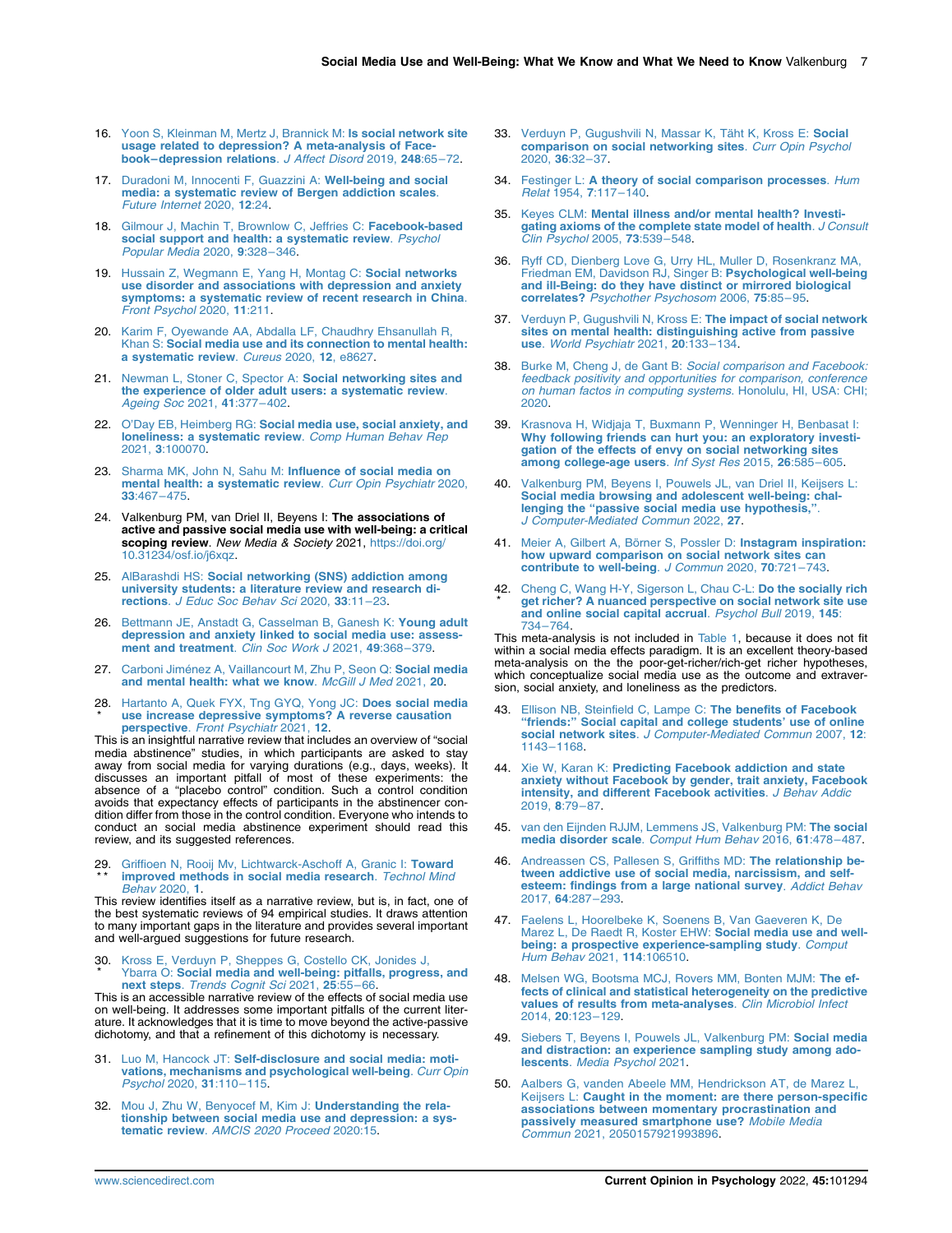- <span id="page-6-5"></span>16. [Yoon S, Kleinman M, Mertz J, Brannick M:](http://refhub.elsevier.com/S2352-250X(21)00246-3/sref16) Is social network site [usage related to depression? A meta-analysis of Face](http://refhub.elsevier.com/S2352-250X(21)00246-3/sref16)book–[depression relations](http://refhub.elsevier.com/S2352-250X(21)00246-3/sref16). J Affect Disord 2019, 248:65–72.
- <span id="page-6-0"></span>17. [Duradoni M, Innocenti F, Guazzini A:](http://refhub.elsevier.com/S2352-250X(21)00246-3/sref17) Well-being and social [media: a systematic review of Bergen addiction scales](http://refhub.elsevier.com/S2352-250X(21)00246-3/sref17). [Future Internet](http://refhub.elsevier.com/S2352-250X(21)00246-3/sref17) 2020, 12:24.
- 18. [Gilmour J, Machin T, Brownlow C, Jeffries C:](http://refhub.elsevier.com/S2352-250X(21)00246-3/sref18) Facebook-based [social support and health: a systematic review](http://refhub.elsevier.com/S2352-250X(21)00246-3/sref18). Psychol [Popular Media](http://refhub.elsevier.com/S2352-250X(21)00246-3/sref18) 2020, 9:328–346.
- <span id="page-6-17"></span>19. [Hussain Z, Wegmann E, Yang H, Montag C:](http://refhub.elsevier.com/S2352-250X(21)00246-3/sref19) Social networks [use disorder and associations with depression and anxiety](http://refhub.elsevier.com/S2352-250X(21)00246-3/sref19) [symptoms: a systematic review of recent research in China](http://refhub.elsevier.com/S2352-250X(21)00246-3/sref19). [Front Psychol](http://refhub.elsevier.com/S2352-250X(21)00246-3/sref19) 2020, 11:211.
- <span id="page-6-23"></span>20. [Karim F, Oyewande AA, Abdalla LF, Chaudhry Ehsanullah R,](http://refhub.elsevier.com/S2352-250X(21)00246-3/sref20) Khan S: [Social media use and its connection to mental health:](http://refhub.elsevier.com/S2352-250X(21)00246-3/sref20) [a systematic review](http://refhub.elsevier.com/S2352-250X(21)00246-3/sref20). Cureus 2020, 12, e8627.
- 21. [Newman L, Stoner C, Spector A:](http://refhub.elsevier.com/S2352-250X(21)00246-3/sref21) Social networking sites and [the experience of older adult users: a systematic review](http://refhub.elsevier.com/S2352-250X(21)00246-3/sref21). [Ageing Soc](http://refhub.elsevier.com/S2352-250X(21)00246-3/sref21) 2021, 41:377–402.
- <span id="page-6-14"></span>22. O'Day EB, Heimberg RG: [Social media use, social anxiety, and](http://refhub.elsevier.com/S2352-250X(21)00246-3/sref22) [loneliness: a systematic review](http://refhub.elsevier.com/S2352-250X(21)00246-3/sref22). Comp Human Behav Rep 2021, 3[:100070](http://refhub.elsevier.com/S2352-250X(21)00246-3/sref22).
- 23. [Sharma MK, John N, Sahu M:](http://refhub.elsevier.com/S2352-250X(21)00246-3/sref23) Influence of social media on [mental health: a systematic review](http://refhub.elsevier.com/S2352-250X(21)00246-3/sref23). Curr Opin Psychiatr 2020, 33[:467](http://refhub.elsevier.com/S2352-250X(21)00246-3/sref23)–475.
- <span id="page-6-7"></span>24. Valkenburg PM, van Driel II, Beyens I: The associations of active and passive social media use with well-being: a critical scoping review. New Media & Society 2021, [https://doi.org/](https://doi.org/10.31234/osf.io/j6xqz) [10.31234/osf.io/j6xqz](https://doi.org/10.31234/osf.io/j6xqz).
- <span id="page-6-1"></span>25. AlBarashdi HS: [Social networking \(SNS\) addiction among](http://refhub.elsevier.com/S2352-250X(21)00246-3/sref25) [university students: a literature review and research di](http://refhub.elsevier.com/S2352-250X(21)00246-3/sref25)rections. [J Educ Soc Behav Sci](http://refhub.elsevier.com/S2352-250X(21)00246-3/sref25) 2020, 33:11–23.
- 26. [Bettmann JE, Anstadt G, Casselman B, Ganesh K:](http://refhub.elsevier.com/S2352-250X(21)00246-3/sref26) Young adult [depression and anxiety linked to social media use: assess](http://refhub.elsevier.com/S2352-250X(21)00246-3/sref26)[ment and treatment](http://refhub.elsevier.com/S2352-250X(21)00246-3/sref26). Clin Soc Work J 2021, 49:368-379.
- <span id="page-6-30"></span>27. [Carboni Jiménez A, Vaillancourt M, Zhu P, Seon Q:](http://refhub.elsevier.com/S2352-250X(21)00246-3/sref27) Social media [and mental health: what we know](http://refhub.elsevier.com/S2352-250X(21)00246-3/sref27). McGill J Med 2021, 20.
- <span id="page-6-20"></span>28 \* . [Hartanto A, Quek FYX, Tng GYQ, Yong JC:](http://refhub.elsevier.com/S2352-250X(21)00246-3/sref28) Does social media [use increase depressive symptoms? A reverse causation](http://refhub.elsevier.com/S2352-250X(21)00246-3/sref28) perspective. [Front Psychiatr](http://refhub.elsevier.com/S2352-250X(21)00246-3/sref28) 2021, 12.

This is an insightful narrative review that includes an overview of "social media abstinence" studies, in which participants are asked to stay away from social media for varying durations (e.g., days, weeks). It discusses an important pitfall of most of these experiments: the<br>absence of a "placebo control" condition. Such a control condition<br>avoids that expectancy effects of participants in the abstinencer con-<br>dition differ from conduct an social media abstinence experiment should read this review, and its suggested references.

<span id="page-6-21"></span>29 \* \* . [Griffioen N, Rooij Mv, Lichtwarck-Aschoff A, Granic I:](http://refhub.elsevier.com/S2352-250X(21)00246-3/sref29) Toward [improved methods in social media research](http://refhub.elsevier.com/S2352-250X(21)00246-3/sref29). Technol Mind [Behav](http://refhub.elsevier.com/S2352-250X(21)00246-3/sref29) 2020, 1.

This review identifies itself as a narrative review, but is, in fact, one of the best systematic reviews of 94 empirical studies. It draws attention to many important gaps in the literature and provides several important and well-argued suggestions for future research.

<span id="page-6-26"></span>30 \* . [Kross E, Verduyn P, Sheppes G, Costello CK, Jonides J,](http://refhub.elsevier.com/S2352-250X(21)00246-3/sref30) Ybarra O: [Social media and well-being: pitfalls, progress, and](http://refhub.elsevier.com/S2352-250X(21)00246-3/sref30) next steps. [Trends Cognit Sci](http://refhub.elsevier.com/S2352-250X(21)00246-3/sref30) 2021, 25:55-66.

This is an accessible narrative review of the effects of social media use on well-being. It addresses some important pitfalls of the current literature. It acknowledges that it is time to move beyond the active-passive dichotomy, and that a refinement of this dichotomy is necessary.

- <span id="page-6-24"></span>31. Luo M, Hancock JT: [Self-disclosure and social media: moti](http://refhub.elsevier.com/S2352-250X(21)00246-3/sref31)[vations, mechanisms and psychological well-being](http://refhub.elsevier.com/S2352-250X(21)00246-3/sref31). Curr Opin [Psychol](http://refhub.elsevier.com/S2352-250X(21)00246-3/sref31) 2020, 31:110–115.
- <span id="page-6-25"></span>32. [Mou J, Zhu W, Benyocef M, Kim J:](http://refhub.elsevier.com/S2352-250X(21)00246-3/sref32) Understanding the rela[tionship between social media use and depression: a sys](http://refhub.elsevier.com/S2352-250X(21)00246-3/sref32)tematic review. [AMCIS 2020 Proceed](http://refhub.elsevier.com/S2352-250X(21)00246-3/sref32) 2020:15.
- <span id="page-6-8"></span>33. [Verduyn P, Gugushvili N, Massar K, Täht K, Kross E:](http://refhub.elsevier.com/S2352-250X(21)00246-3/sref33) Social [comparison on social networking sites](http://refhub.elsevier.com/S2352-250X(21)00246-3/sref33). Curr Opin Psychol [2020,](http://refhub.elsevier.com/S2352-250X(21)00246-3/sref33) 36:32–37.
- <span id="page-6-2"></span>34. Festinger L: [A theory of social comparison processes](http://refhub.elsevier.com/S2352-250X(21)00246-3/sref34). Hum Relat [1954,](http://refhub.elsevier.com/S2352-250X(21)00246-3/sref34) 7:117–140.
- <span id="page-6-3"></span>35. Keyes CLM: [Mental illness and/or mental health? Investi](http://refhub.elsevier.com/S2352-250X(21)00246-3/sref35)[gating axioms of the complete state model of health](http://refhub.elsevier.com/S2352-250X(21)00246-3/sref35). J Consult [Clin Psychol](http://refhub.elsevier.com/S2352-250X(21)00246-3/sref35) 2005, 73:539–548.
- <span id="page-6-4"></span>36. [Ryff CD, Dienberg Love G, Urry HL, Muller D, Rosenkranz MA,](http://refhub.elsevier.com/S2352-250X(21)00246-3/sref36) [Friedman EM, Davidson RJ, Singer B:](http://refhub.elsevier.com/S2352-250X(21)00246-3/sref36) Psychological well-being [and ill-Being: do they have distinct or mirrored biological](http://refhub.elsevier.com/S2352-250X(21)00246-3/sref36) correlates? [Psychother Psychosom](http://refhub.elsevier.com/S2352-250X(21)00246-3/sref36) 2006, 75:85–95.
- <span id="page-6-6"></span>37. [Verduyn P, Gugushvili N, Kross E:](http://refhub.elsevier.com/S2352-250X(21)00246-3/sref37) The impact of social network [sites on mental health: distinguishing active from passive](http://refhub.elsevier.com/S2352-250X(21)00246-3/sref37) use. [World Psychiatr](http://refhub.elsevier.com/S2352-250X(21)00246-3/sref37) 2021, 20:133–134.
- <span id="page-6-9"></span>38. Burke M, Cheng J, de Gant B: [Social comparison and Facebook:](http://refhub.elsevier.com/S2352-250X(21)00246-3/sref38) [feedback positivity and opportunities for comparison, conference](http://refhub.elsevier.com/S2352-250X(21)00246-3/sref38) [on human factos in computing systems](http://refhub.elsevier.com/S2352-250X(21)00246-3/sref38). Honolulu, HI, USA: CHI; [2020.](http://refhub.elsevier.com/S2352-250X(21)00246-3/sref38)
- <span id="page-6-10"></span>39. [Krasnova H, Widjaja T, Buxmann P, Wenninger H, Benbasat I:](http://refhub.elsevier.com/S2352-250X(21)00246-3/sref39) [Why following friends can hurt you: an exploratory investi](http://refhub.elsevier.com/S2352-250X(21)00246-3/sref39)[gation of the effects of envy on social networking sites](http://refhub.elsevier.com/S2352-250X(21)00246-3/sref39)<br>[among college-age users](http://refhub.elsevier.com/S2352-250X(21)00246-3/sref39). Inf Syst Res 2015, 26:585-605.
- <span id="page-6-11"></span>40. [Valkenburg PM, Beyens I, Pouwels JL, van Driel II, Keijsers L:](http://refhub.elsevier.com/S2352-250X(21)00246-3/sref40) [Social media browsing and adolescent well-being: chal](http://refhub.elsevier.com/S2352-250X(21)00246-3/sref40)lenging the "[passive social media use hypothesis,](http://refhub.elsevier.com/S2352-250X(21)00246-3/sref40)" [J Computer-Mediated Commun](http://refhub.elsevier.com/S2352-250X(21)00246-3/sref40) 2022, 27.
- <span id="page-6-12"></span>41. [Meier A, Gilbert A, Börner S, Possler D:](http://refhub.elsevier.com/S2352-250X(21)00246-3/sref41) Instagram inspiration: [how upward comparison on social network sites can](http://refhub.elsevier.com/S2352-250X(21)00246-3/sref41) [contribute to well-being](http://refhub.elsevier.com/S2352-250X(21)00246-3/sref41). J Commun 2020, 70:721-743.
- <span id="page-6-13"></span>42. [Cheng C, Wang H-Y, Sigerson L, Chau C-L:](http://refhub.elsevier.com/S2352-250X(21)00246-3/sref42) Do the socially rich \* [get richer? A nuanced perspective on social network site use](http://refhub.elsevier.com/S2352-250X(21)00246-3/sref42) [and online social capital accrual](http://refhub.elsevier.com/S2352-250X(21)00246-3/sref42). Psychol Bull 2019, 145: 734–[764.](http://refhub.elsevier.com/S2352-250X(21)00246-3/sref42)

This meta-analysis is not included in [Table 1,](#page-3-0) because it does not fit within a social media effects paradigm. It is an excellent theory-based meta-analysis on the the poor-get-richer/rich-get richer hypotheses, which conceptualize social media use as the outcome and extraversion, social anxiety, and loneliness as the predictors.

- <span id="page-6-15"></span>43. [Ellison NB, Steinfield C, Lampe C:](http://refhub.elsevier.com/S2352-250X(21)00246-3/sref43) The benefits of Facebook "friends:" [Social capital and college students](http://refhub.elsevier.com/S2352-250X(21)00246-3/sref43)' use of online social network sites. [J Computer-Mediated Commun](http://refhub.elsevier.com/S2352-250X(21)00246-3/sref43) 2007, 12: [1143](http://refhub.elsevier.com/S2352-250X(21)00246-3/sref43)–1168.
- <span id="page-6-16"></span>44. Xie W, Karan K: [Predicting Facebook addiction and state](http://refhub.elsevier.com/S2352-250X(21)00246-3/sref44) [anxiety without Facebook by gender, trait anxiety, Facebook](http://refhub.elsevier.com/S2352-250X(21)00246-3/sref44) [intensity, and different Facebook activities](http://refhub.elsevier.com/S2352-250X(21)00246-3/sref44). J Behav Addic [2019,](http://refhub.elsevier.com/S2352-250X(21)00246-3/sref44) 8:79–87.
- <span id="page-6-18"></span>45. [van den Eijnden RJJM, Lemmens JS, Valkenburg PM:](http://refhub.elsevier.com/S2352-250X(21)00246-3/sref45) The social [media disorder scale](http://refhub.elsevier.com/S2352-250X(21)00246-3/sref45). Comput Hum Behav 2016, 61:478–487.
- <span id="page-6-19"></span>46. [Andreassen CS, Pallesen S, Griffiths MD:](http://refhub.elsevier.com/S2352-250X(21)00246-3/sref46) The relationship be[tween addictive use of social media, narcissism, and self](http://refhub.elsevier.com/S2352-250X(21)00246-3/sref46)[esteem: findings from a large national survey](http://refhub.elsevier.com/S2352-250X(21)00246-3/sref46). Addict Behav [2017,](http://refhub.elsevier.com/S2352-250X(21)00246-3/sref46) 64:287–293.
- <span id="page-6-22"></span>47. [Faelens L, Hoorelbeke K, Soenens B, Van Gaeveren K, De](http://refhub.elsevier.com/S2352-250X(21)00246-3/sref47) [Marez L, De Raedt R, Koster EHW:](http://refhub.elsevier.com/S2352-250X(21)00246-3/sref47) Social media use and well[being: a prospective experience-sampling study](http://refhub.elsevier.com/S2352-250X(21)00246-3/sref47). Comput [Hum Behav](http://refhub.elsevier.com/S2352-250X(21)00246-3/sref47) 2021, 114:106510.
- <span id="page-6-27"></span>48. [Melsen WG, Bootsma MCJ, Rovers MM, Bonten MJM:](http://refhub.elsevier.com/S2352-250X(21)00246-3/sref48) The ef[fects of clinical and statistical heterogeneity on the predictive](http://refhub.elsevier.com/S2352-250X(21)00246-3/sref48) [values of results from meta-analyses](http://refhub.elsevier.com/S2352-250X(21)00246-3/sref48). Clin Microbiol Infect [2014,](http://refhub.elsevier.com/S2352-250X(21)00246-3/sref48) 20:123–129.
- <span id="page-6-28"></span>49. [Siebers T, Beyens I, Pouwels JL, Valkenburg PM:](http://refhub.elsevier.com/S2352-250X(21)00246-3/sref49) Social media [and distraction: an experience sampling study among ado](http://refhub.elsevier.com/S2352-250X(21)00246-3/sref49)lescents. [Media Psychol](http://refhub.elsevier.com/S2352-250X(21)00246-3/sref49) 2021.
- <span id="page-6-29"></span>50. [Aalbers G, vanden Abeele MM, Hendrickson AT, de Marez L,](http://refhub.elsevier.com/S2352-250X(21)00246-3/sref50) Keijsers L: [Caught in the moment: are there person-specific](http://refhub.elsevier.com/S2352-250X(21)00246-3/sref50) [associations between momentary procrastination and](http://refhub.elsevier.com/S2352-250X(21)00246-3/sref50) [passively measured smartphone use?](http://refhub.elsevier.com/S2352-250X(21)00246-3/sref50) Mobile Media .<br>Commun [2021, 2050157921993896](http://refhub.elsevier.com/S2352-250X(21)00246-3/sref50).